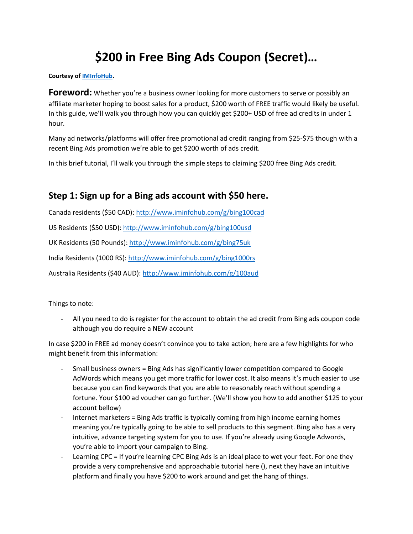# **\$200 in Free Bing Ads Coupon (Secret)…**

#### **Courtesy of [IMInfoHub.](https://www.iminfohub.com/p/facebook)**

**Foreword:** Whether you're a business owner looking for more customers to serve or possibly an affiliate marketer hoping to boost sales for a product, \$200 worth of FREE traffic would likely be useful. In this guide, we'll walk you through how you can quickly get \$200+ USD of free ad credits in under 1 hour.

Many ad networks/platforms will offer free promotional ad credit ranging from \$25-\$75 though with a recent Bing Ads promotion we're able to get \$200 worth of ads credit.

In this brief tutorial, I'll walk you through the simple steps to claiming \$200 free Bing Ads credit.

## **Step 1: Sign up for a Bing ads account with \$50 here.**

Canada residents (\$50 CAD)[: http://www.iminfohub.com/g/bing100cad](http://www.iminfohub.com/g/bing100cad)

US Residents (\$50 USD)[: http://www.iminfohub.com/g/bing100usd](http://www.iminfohub.com/g/bing100usd)

UK Residents (50 Pounds):<http://www.iminfohub.com/g/bing75uk>

India Residents (1000 RS):<http://www.iminfohub.com/g/bing1000rs>

Australia Residents (\$40 AUD):<http://www.iminfohub.com/g/100aud>

Things to note:

All you need to do is register for the account to obtain the ad credit from Bing ads coupon code although you do require a NEW account

In case \$200 in FREE ad money doesn't convince you to take action; here are a few highlights for who might benefit from this information:

- Small business owners = Bing Ads has significantly lower competition compared to Google AdWords which means you get more traffic for lower cost. It also means it's much easier to use because you can find keywords that you are able to reasonably reach without spending a fortune. Your \$100 ad voucher can go further. (We'll show you how to add another \$125 to your account bellow)
- Internet marketers = Bing Ads traffic is typically coming from high income earning homes meaning you're typically going to be able to sell products to this segment. Bing also has a very intuitive, advance targeting system for you to use. If you're already using Google Adwords, you're able to import your campaign to Bing.
- Learning CPC = If you're learning CPC Bing Ads is an ideal place to wet your feet. For one they provide a very comprehensive and approachable tutorial here (), next they have an intuitive platform and finally you have \$200 to work around and get the hang of things.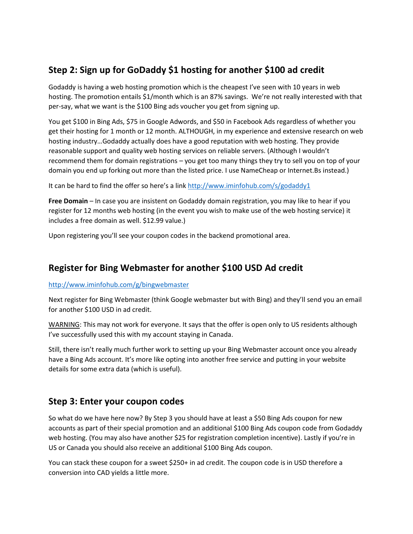# **Step 2: Sign up for GoDaddy \$1 hosting for another \$100 ad credit**

Godaddy is having a web hosting promotion which is the cheapest I've seen with 10 years in web hosting. The promotion entails \$1/month which is an 87% savings. We're not really interested with that per-say, what we want is the \$100 Bing ads voucher you get from signing up.

You get \$100 in Bing Ads, \$75 in Google Adwords, and \$50 in Facebook Ads regardless of whether you get their hosting for 1 month or 12 month. ALTHOUGH, in my experience and extensive research on web hosting industry…Godaddy actually does have a good reputation with web hosting. They provide reasonable support and quality web hosting services on reliable servers. (Although I wouldn't recommend them for domain registrations – you get too many things they try to sell you on top of your domain you end up forking out more than the listed price. I use NameCheap or Internet.Bs instead.)

It can be hard to find the offer so here's a link <http://www.iminfohub.com/s/godaddy1>

**Free Domain** – In case you are insistent on Godaddy domain registration, you may like to hear if you register for 12 months web hosting (in the event you wish to make use of the web hosting service) it includes a free domain as well. \$12.99 value.)

Upon registering you'll see your coupon codes in the backend promotional area.

# **Register for Bing Webmaster for another \$100 USD Ad credit**

#### <http://www.iminfohub.com/g/bingwebmaster>

Next register for Bing Webmaster (think Google webmaster but with Bing) and they'll send you an email for another \$100 USD in ad credit.

WARNING: This may not work for everyone. It says that the offer is open only to US residents although I've successfully used this with my account staying in Canada.

Still, there isn't really much further work to setting up your Bing Webmaster account once you already have a Bing Ads account. It's more like opting into another free service and putting in your website details for some extra data (which is useful).

## **Step 3: Enter your coupon codes**

So what do we have here now? By Step 3 you should have at least a \$50 Bing Ads coupon for new accounts as part of their special promotion and an additional \$100 Bing Ads coupon code from Godaddy web hosting. (You may also have another \$25 for registration completion incentive). Lastly if you're in US or Canada you should also receive an additional \$100 Bing Ads coupon.

You can stack these coupon for a sweet \$250+ in ad credit. The coupon code is in USD therefore a conversion into CAD yields a little more.